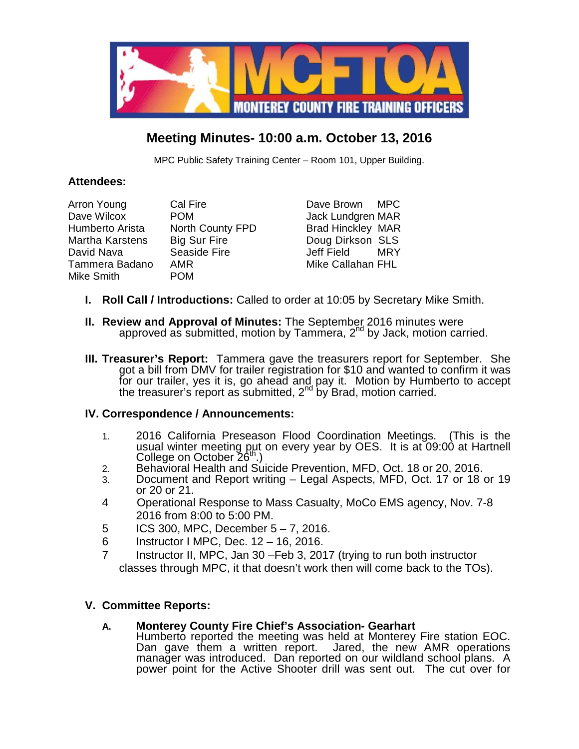

# **Meeting Minutes- 10:00 a.m. October 13, 2016**

MPC Public Safety Training Center – Room 101, Upper Building.

# **Attendees:**

| Arron Young<br>Cal Fire                    | Dave Brown MPC           |     |
|--------------------------------------------|--------------------------|-----|
| Dave Wilcox<br><b>POM</b>                  | Jack Lundgren MAR        |     |
| <b>North County FPD</b><br>Humberto Arista | <b>Brad Hinckley MAR</b> |     |
| <b>Big Sur Fire</b><br>Martha Karstens     | Doug Dirkson SLS         |     |
| Seaside Fire<br>David Nava                 | Jeff Field               | MRY |
| Tammera Badano<br><b>AMR</b>               | Mike Callahan FHL        |     |
| Mike Smith<br><b>POM</b>                   |                          |     |

- **I. Roll Call / Introductions:** Called to order at 10:05 by Secretary Mike Smith.
- **II. Review and Approval of Minutes:** The September 2016 minutes were approved as submitted, motion by Tammera, 2<sup>nd</sup> by Jack, motion carried.
- **III. Treasurer's Report:** Tammera gave the treasurers report for September. She got a bill from DMV for trailer registration for \$10 and wanted to confirm it was for our trailer, yes it is, go ahead and pay it. Motion by Humberto to accept the treasurer's report as submitted, 2<sup>nd</sup> by Brad, motion carried.

# **IV. Correspondence / Announcements:**

- 1. 2016 California Preseason Flood Coordination Meetings. (This is the usual winter meeting put on every year by OES. It is at 09:00 at Hartnell College on October 26<sup>th</sup>.)
- 2. Behavioral Health and Suicide Prevention, MFD, Oct. 18 or 20, 2016.<br>3. Document and Report writing Legal Aspects, MFD, Oct. 17 or 18 o
- Document and Report writing Legal Aspects, MFD, Oct. 17 or 18 or 19 or 20 or 21.
- 4 Operational Response to Mass Casualty, MoCo EMS agency, Nov. 7-8 2016 from 8:00 to 5:00 PM.
- 5 ICS 300, MPC, December 5 7, 2016.
- 6 Instructor I MPC, Dec. 12 16, 2016.
- 7 Instructor II, MPC, Jan 30 –Feb 3, 2017 (trying to run both instructor classes through MPC, it that doesn't work then will come back to the TOs).

# **V. Committee Reports:**

# **A. Monterey County Fire Chief's Association- Gearhart**

Humberto reported the meeting was held at Monterey Fire station EOC. Dan gave them a written report. Jared, the new AMR operations manager was introduced. Dan reported on our wildland school plans. A power point for the Active Shooter drill was sent out. The cut over for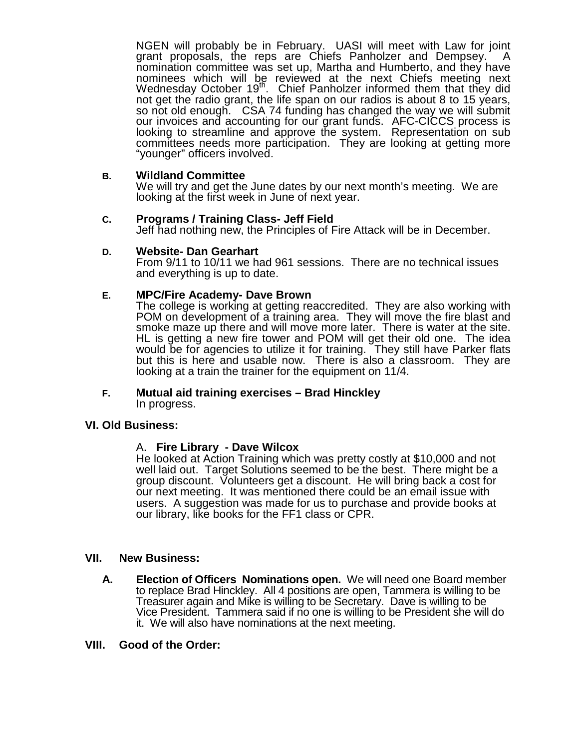NGEN will probably be in February. UASI will meet with Law for joint grant proposals, the reps are Chiefs Panholzer and Dempsey. A nomination committee was set up, Martha and Humberto, and they have nominees which will be reviewed at the next Chiefs meeting next Wednesday October 19<sup>th</sup>. Chief Panholzer informed them that they did not get the radio grant, the life span on our radios is about 8 to 15 years, so not old enough. CSA 74 funding has changed the way we will submit our invoices and accounting for our grant funds. AFC-CICCS process is looking to streamline and approve the system. Representation on sub committees needs more participation. They are looking at getting more "younger" officers involved.

## **B. Wildland Committee**

We will try and get the June dates by our next month's meeting. We are looking at the first week in June of next year.

#### **C. Programs / Training Class- Jeff Field**

Jeff had nothing new, the Principles of Fire Attack will be in December.

#### **D. Website- Dan Gearhart**

From 9/11 to 10/11 we had 961 sessions. There are no technical issues and everything is up to date.

## **E. MPC/Fire Academy- Dave Brown**

The college is working at getting reaccredited. They are also working with POM on development of a training area. They will move the fire blast and smoke maze up there and will move more later. There is water at the site. HL is getting a new fire tower and POM will get their old one. The idea would be for agencies to utilize it for training. They still have Parker flats but this is here and usable now. There is also a classroom. They are looking at a train the trainer for the equipment on 11/4.

# **F. Mutual aid training exercises – Brad Hinckley**

In progress.

## **VI. Old Business:**

## A. **Fire Library - Dave Wilcox**

He looked at Action Training which was pretty costly at \$10,000 and not well laid out. Target Solutions seemed to be the best. There might be a group discount. Volunteers get a discount. He will bring back a cost for our next meeting. It was mentioned there could be an email issue with users. A suggestion was made for us to purchase and provide books at our library, like books for the FF1 class or CPR.

## **VII. New Business:**

**A. Election of Officers Nominations open.** We will need one Board member to replace Brad Hinckley. All 4 positions are open, Tammera is willing to be Treasurer again and Mike is willing to be Secretary. Dave is willing to be Vice President. Tammera said if no one is willing to be President she will do it. We will also have nominations at the next meeting.

#### **VIII. Good of the Order:**